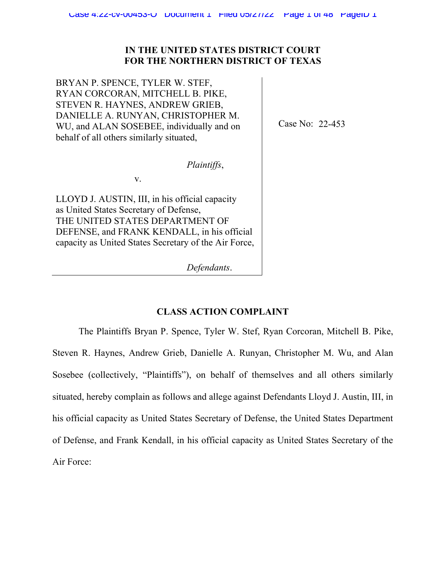## **IN THE UNITED STATES DISTRICT COURT FOR THE NORTHERN DISTRICT OF TEXAS**

BRYAN P. SPENCE, TYLER W. STEF, RYAN CORCORAN, MITCHELL B. PIKE, STEVEN R. HAYNES, ANDREW GRIEB, DANIELLE A. RUNYAN, CHRISTOPHER M. WU, and ALAN SOSEBEE, individually and on behalf of all others similarly situated,

Case No: 22-453

*Plaintiffs*,

v.

LLOYD J. AUSTIN, III, in his official capacity as United States Secretary of Defense, THE UNITED STATES DEPARTMENT OF DEFENSE, and FRANK KENDALL, in his official capacity as United States Secretary of the Air Force,

*Defendants*.

# **CLASS ACTION COMPLAINT**

The Plaintiffs Bryan P. Spence, Tyler W. Stef, Ryan Corcoran, Mitchell B. Pike, Steven R. Haynes, Andrew Grieb, Danielle A. Runyan, Christopher M. Wu, and Alan Sosebee (collectively, "Plaintiffs"), on behalf of themselves and all others similarly situated, hereby complain as follows and allege against Defendants Lloyd J. Austin, III, in his official capacity as United States Secretary of Defense, the United States Department of Defense, and Frank Kendall, in his official capacity as United States Secretary of the Air Force: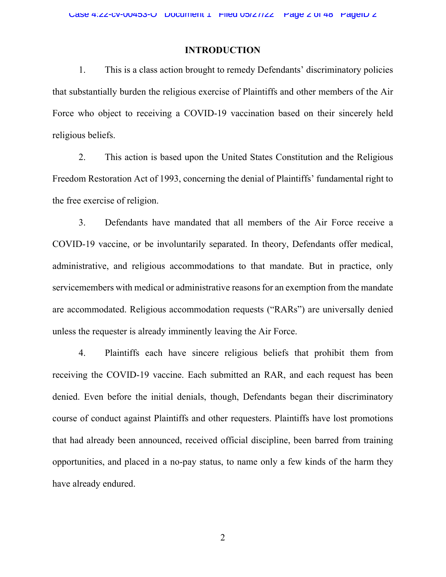#### **INTRODUCTION**

1. This is a class action brought to remedy Defendants' discriminatory policies that substantially burden the religious exercise of Plaintiffs and other members of the Air Force who object to receiving a COVID-19 vaccination based on their sincerely held religious beliefs.

2. This action is based upon the United States Constitution and the Religious Freedom Restoration Act of 1993, concerning the denial of Plaintiffs' fundamental right to the free exercise of religion.

3. Defendants have mandated that all members of the Air Force receive a COVID-19 vaccine, or be involuntarily separated. In theory, Defendants offer medical, administrative, and religious accommodations to that mandate. But in practice, only servicemembers with medical or administrative reasons for an exemption from the mandate are accommodated. Religious accommodation requests ("RARs") are universally denied unless the requester is already imminently leaving the Air Force.

4. Plaintiffs each have sincere religious beliefs that prohibit them from receiving the COVID-19 vaccine. Each submitted an RAR, and each request has been denied. Even before the initial denials, though, Defendants began their discriminatory course of conduct against Plaintiffs and other requesters. Plaintiffs have lost promotions that had already been announced, received official discipline, been barred from training opportunities, and placed in a no-pay status, to name only a few kinds of the harm they have already endured.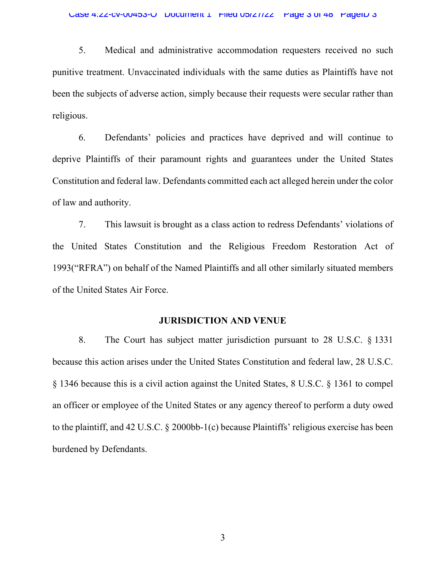5. Medical and administrative accommodation requesters received no such punitive treatment. Unvaccinated individuals with the same duties as Plaintiffs have not been the subjects of adverse action, simply because their requests were secular rather than religious.

6. Defendants' policies and practices have deprived and will continue to deprive Plaintiffs of their paramount rights and guarantees under the United States Constitution and federal law. Defendants committed each act alleged herein under the color of law and authority.

7. This lawsuit is brought as a class action to redress Defendants' violations of the United States Constitution and the Religious Freedom Restoration Act of 1993("RFRA") on behalf of the Named Plaintiffs and all other similarly situated members of the United States Air Force.

#### **JURISDICTION AND VENUE**

8. The Court has subject matter jurisdiction pursuant to 28 U.S.C. § 1331 because this action arises under the United States Constitution and federal law, 28 U.S.C. § 1346 because this is a civil action against the United States, 8 U.S.C. § 1361 to compel an officer or employee of the United States or any agency thereof to perform a duty owed to the plaintiff, and 42 U.S.C. § 2000bb-1(c) because Plaintiffs' religious exercise has been burdened by Defendants.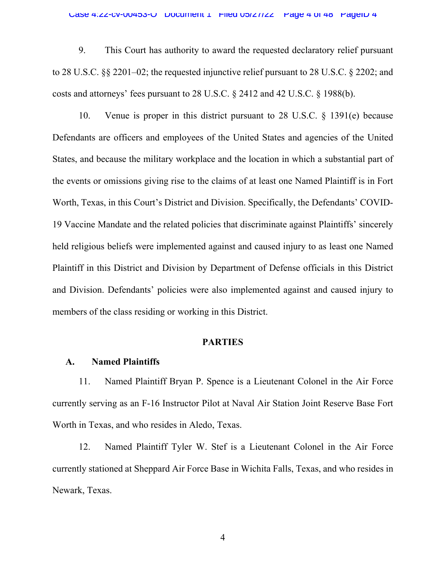9. This Court has authority to award the requested declaratory relief pursuant to 28 U.S.C. §§ 2201–02; the requested injunctive relief pursuant to 28 U.S.C. § 2202; and costs and attorneys' fees pursuant to 28 U.S.C. § 2412 and 42 U.S.C. § 1988(b).

10. Venue is proper in this district pursuant to 28 U.S.C. § 1391(e) because Defendants are officers and employees of the United States and agencies of the United States, and because the military workplace and the location in which a substantial part of the events or omissions giving rise to the claims of at least one Named Plaintiff is in Fort Worth, Texas, in this Court's District and Division. Specifically, the Defendants' COVID-19 Vaccine Mandate and the related policies that discriminate against Plaintiffs' sincerely held religious beliefs were implemented against and caused injury to as least one Named Plaintiff in this District and Division by Department of Defense officials in this District and Division. Defendants' policies were also implemented against and caused injury to members of the class residing or working in this District.

# **PARTIES**

### **A. Named Plaintiffs**

11. Named Plaintiff Bryan P. Spence is a Lieutenant Colonel in the Air Force currently serving as an F-16 Instructor Pilot at Naval Air Station Joint Reserve Base Fort Worth in Texas, and who resides in Aledo, Texas.

12. Named Plaintiff Tyler W. Stef is a Lieutenant Colonel in the Air Force currently stationed at Sheppard Air Force Base in Wichita Falls, Texas, and who resides in Newark, Texas.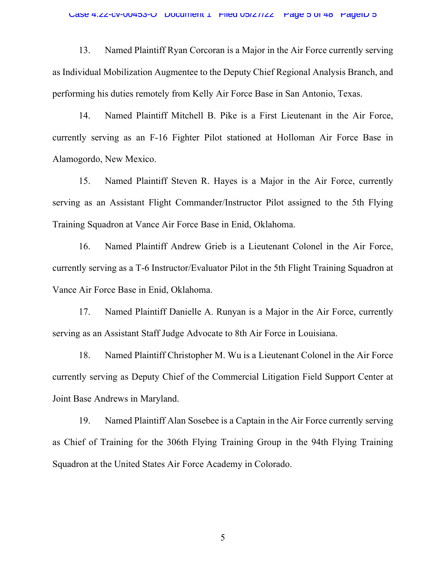13. Named Plaintiff Ryan Corcoran is a Major in the Air Force currently serving as Individual Mobilization Augmentee to the Deputy Chief Regional Analysis Branch, and performing his duties remotely from Kelly Air Force Base in San Antonio, Texas.

14. Named Plaintiff Mitchell B. Pike is a First Lieutenant in the Air Force, currently serving as an F-16 Fighter Pilot stationed at Holloman Air Force Base in Alamogordo, New Mexico.

15. Named Plaintiff Steven R. Hayes is a Major in the Air Force, currently serving as an Assistant Flight Commander/Instructor Pilot assigned to the 5th Flying Training Squadron at Vance Air Force Base in Enid, Oklahoma.

16. Named Plaintiff Andrew Grieb is a Lieutenant Colonel in the Air Force, currently serving as a T-6 Instructor/Evaluator Pilot in the 5th Flight Training Squadron at Vance Air Force Base in Enid, Oklahoma.

17. Named Plaintiff Danielle A. Runyan is a Major in the Air Force, currently serving as an Assistant Staff Judge Advocate to 8th Air Force in Louisiana.

18. Named Plaintiff Christopher M. Wu is a Lieutenant Colonel in the Air Force currently serving as Deputy Chief of the Commercial Litigation Field Support Center at Joint Base Andrews in Maryland.

19. Named Plaintiff Alan Sosebee is a Captain in the Air Force currently serving as Chief of Training for the 306th Flying Training Group in the 94th Flying Training Squadron at the United States Air Force Academy in Colorado.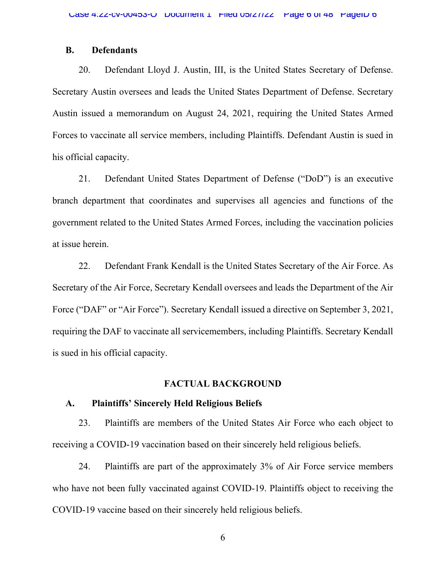#### **B. Defendants**

20. Defendant Lloyd J. Austin, III, is the United States Secretary of Defense. Secretary Austin oversees and leads the United States Department of Defense. Secretary Austin issued a memorandum on August 24, 2021, requiring the United States Armed Forces to vaccinate all service members, including Plaintiffs. Defendant Austin is sued in his official capacity.

21. Defendant United States Department of Defense ("DoD") is an executive branch department that coordinates and supervises all agencies and functions of the government related to the United States Armed Forces, including the vaccination policies at issue herein.

22. Defendant Frank Kendall is the United States Secretary of the Air Force. As Secretary of the Air Force, Secretary Kendall oversees and leads the Department of the Air Force ("DAF" or "Air Force"). Secretary Kendall issued a directive on September 3, 2021, requiring the DAF to vaccinate all servicemembers, including Plaintiffs. Secretary Kendall is sued in his official capacity.

### **FACTUAL BACKGROUND**

### **A. Plaintiffs' Sincerely Held Religious Beliefs**

23. Plaintiffs are members of the United States Air Force who each object to receiving a COVID-19 vaccination based on their sincerely held religious beliefs.

24. Plaintiffs are part of the approximately 3% of Air Force service members who have not been fully vaccinated against COVID-19. Plaintiffs object to receiving the COVID-19 vaccine based on their sincerely held religious beliefs.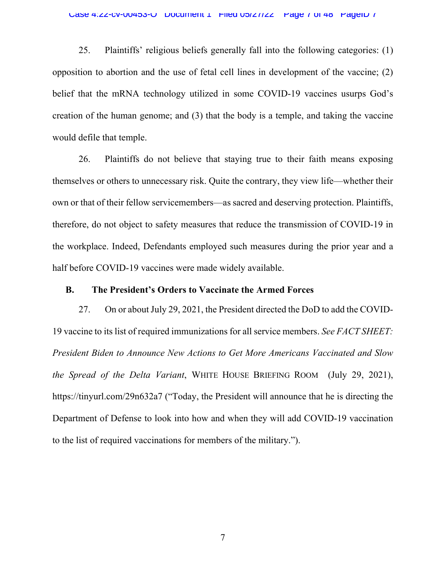25. Plaintiffs' religious beliefs generally fall into the following categories: (1) opposition to abortion and the use of fetal cell lines in development of the vaccine; (2) belief that the mRNA technology utilized in some COVID-19 vaccines usurps God's creation of the human genome; and (3) that the body is a temple, and taking the vaccine would defile that temple.

26. Plaintiffs do not believe that staying true to their faith means exposing themselves or others to unnecessary risk. Quite the contrary, they view life—whether their own or that of their fellow servicemembers—as sacred and deserving protection. Plaintiffs, therefore, do not object to safety measures that reduce the transmission of COVID-19 in the workplace. Indeed, Defendants employed such measures during the prior year and a half before COVID-19 vaccines were made widely available.

### **B. The President's Orders to Vaccinate the Armed Forces**

27. On or about July 29, 2021, the President directed the DoD to add the COVID-19 vaccine to its list of required immunizations for all service members. *See FACT SHEET: President Biden to Announce New Actions to Get More Americans Vaccinated and Slow the Spread of the Delta Variant*, WHITE HOUSE BRIEFING ROOM (July 29, 2021), https://tinyurl.com/29n632a7 ("Today, the President will announce that he is directing the Department of Defense to look into how and when they will add COVID-19 vaccination to the list of required vaccinations for members of the military.").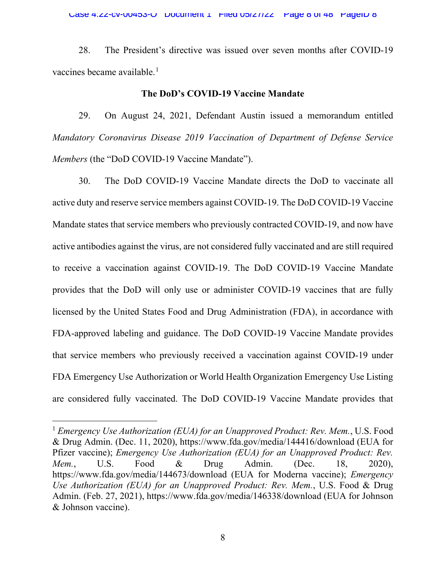28. The President's directive was issued over seven months after COVID-19 vaccines became available.<sup>1</sup>

### **The DoD's COVID-19 Vaccine Mandate**

29. On August 24, 2021, Defendant Austin issued a memorandum entitled *Mandatory Coronavirus Disease 2019 Vaccination of Department of Defense Service Members* (the "DoD COVID-19 Vaccine Mandate").

30. The DoD COVID-19 Vaccine Mandate directs the DoD to vaccinate all active duty and reserve service members against COVID-19. The DoD COVID-19 Vaccine Mandate states that service members who previously contracted COVID-19, and now have active antibodies against the virus, are not considered fully vaccinated and are still required to receive a vaccination against COVID-19. The DoD COVID-19 Vaccine Mandate provides that the DoD will only use or administer COVID-19 vaccines that are fully licensed by the United States Food and Drug Administration (FDA), in accordance with FDA-approved labeling and guidance. The DoD COVID-19 Vaccine Mandate provides that service members who previously received a vaccination against COVID-19 under FDA Emergency Use Authorization or World Health Organization Emergency Use Listing are considered fully vaccinated. The DoD COVID-19 Vaccine Mandate provides that

<sup>1</sup> *Emergency Use Authorization (EUA) for an Unapproved Product: Rev. Mem.*, U.S. Food & Drug Admin. (Dec. 11, 2020),<https://www.fda.gov/media/144416/download> (EUA for Pfizer vaccine); *Emergency Use Authorization (EUA) for an Unapproved Product: Rev. Mem.*, U.S. Food & Drug Admin. (Dec. 18, 2020), <https://www.fda.gov/media/144673/download> (EUA for Moderna vaccine); *Emergency Use Authorization (EUA) for an Unapproved Product: Rev. Mem.*, U.S. Food & Drug Admin. (Feb. 27, 2021),<https://www.fda.gov/media/146338/download>(EUA for Johnson & Johnson vaccine).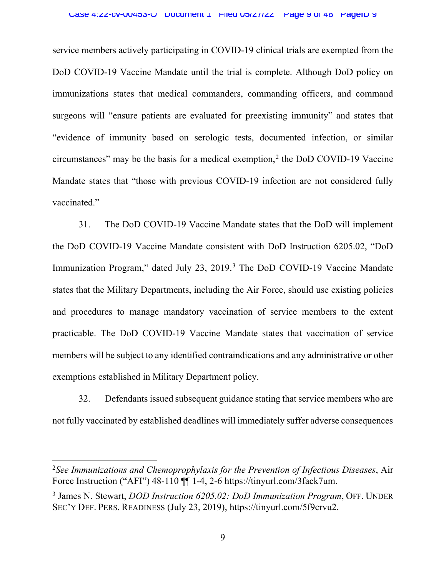service members actively participating in COVID-19 clinical trials are exempted from the DoD COVID-19 Vaccine Mandate until the trial is complete. Although DoD policy on immunizations states that medical commanders, commanding officers, and command surgeons will "ensure patients are evaluated for preexisting immunity" and states that "evidence of immunity based on serologic tests, documented infection, or similar circumstances" may be the basis for a medical exemption, $<sup>2</sup>$  the DoD COVID-19 Vaccine</sup> Mandate states that "those with previous COVID-19 infection are not considered fully vaccinated."

31. The DoD COVID-19 Vaccine Mandate states that the DoD will implement the DoD COVID-19 Vaccine Mandate consistent with DoD Instruction 6205.02, "DoD Immunization Program," dated July 23, 2019.<sup>3</sup> The DoD COVID-19 Vaccine Mandate states that the Military Departments, including the Air Force, should use existing policies and procedures to manage mandatory vaccination of service members to the extent practicable. The DoD COVID-19 Vaccine Mandate states that vaccination of service members will be subject to any identified contraindications and any administrative or other exemptions established in Military Department policy.

32. Defendants issued subsequent guidance stating that service members who are not fully vaccinated by established deadlines will immediately suffer adverse consequences

<sup>2</sup> *See Immunizations and Chemoprophylaxis for the Prevention of Infectious Diseases*, Air Force Instruction ("AFI") 48-110 ¶¶ 1-4, 2-6 [https://tinyurl.com/3fack7um.](https://tinyurl.com/3fack7um)

<sup>3</sup> James N. Stewart, *DOD Instruction 6205.02: DoD Immunization Program*, OFF. UNDER SEC'Y DEF. PERS. READINESS (July 23, 2019), https://tinyurl.com/5f9crvu2.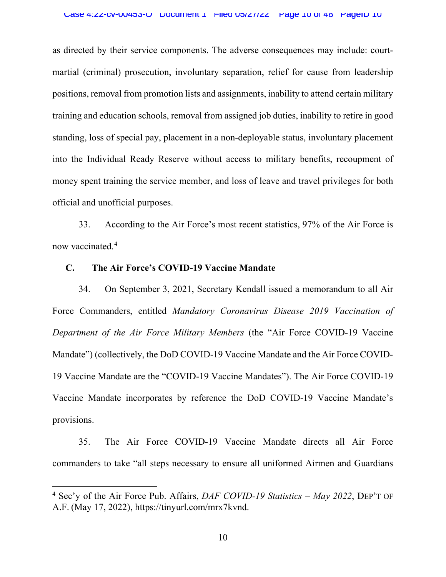as directed by their service components. The adverse consequences may include: courtmartial (criminal) prosecution, involuntary separation, relief for cause from leadership positions, removal from promotion lists and assignments, inability to attend certain military training and education schools, removal from assigned job duties, inability to retire in good standing, loss of special pay, placement in a non-deployable status, involuntary placement into the Individual Ready Reserve without access to military benefits, recoupment of money spent training the service member, and loss of leave and travel privileges for both official and unofficial purposes.

33. According to the Air Force's most recent statistics, 97% of the Air Force is now vaccinated.4

### **C. The Air Force's COVID-19 Vaccine Mandate**

34. On September 3, 2021, Secretary Kendall issued a memorandum to all Air Force Commanders, entitled *Mandatory Coronavirus Disease 2019 Vaccination of Department of the Air Force Military Members* (the "Air Force COVID-19 Vaccine Mandate") (collectively, the DoD COVID-19 Vaccine Mandate and the Air Force COVID-19 Vaccine Mandate are the "COVID-19 Vaccine Mandates"). The Air Force COVID-19 Vaccine Mandate incorporates by reference the DoD COVID-19 Vaccine Mandate's provisions.

35. The Air Force COVID-19 Vaccine Mandate directs all Air Force commanders to take "all steps necessary to ensure all uniformed Airmen and Guardians

<sup>4</sup> Sec'y of the Air Force Pub. Affairs, *DAF COVID-19 Statistics – May 2022*, DEP'T OF A.F. (May 17, 2022), https://tinyurl.com/mrx7kvnd.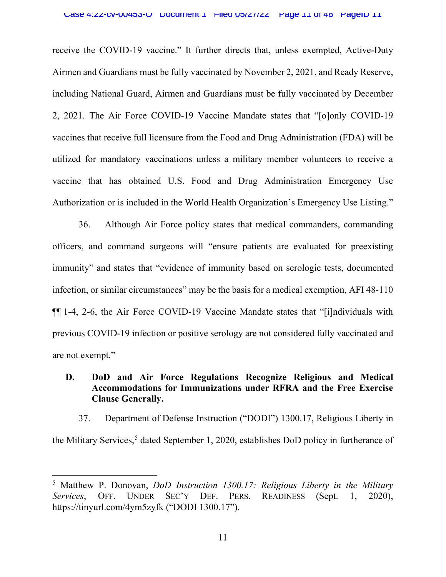receive the COVID-19 vaccine." It further directs that, unless exempted, Active-Duty Airmen and Guardians must be fully vaccinated by November 2, 2021, and Ready Reserve, including National Guard, Airmen and Guardians must be fully vaccinated by December 2, 2021. The Air Force COVID-19 Vaccine Mandate states that "[o]only COVID-19 vaccines that receive full licensure from the Food and Drug Administration (FDA) will be utilized for mandatory vaccinations unless a military member volunteers to receive a vaccine that has obtained U.S. Food and Drug Administration Emergency Use Authorization or is included in the World Health Organization's Emergency Use Listing."

36. Although Air Force policy states that medical commanders, commanding officers, and command surgeons will "ensure patients are evaluated for preexisting immunity" and states that "evidence of immunity based on serologic tests, documented infection, or similar circumstances" may be the basis for a medical exemption, AFI 48-110 ¶¶ 1-4, 2-6, the Air Force COVID-19 Vaccine Mandate states that "[i]ndividuals with previous COVID-19 infection or positive serology are not considered fully vaccinated and are not exempt."

## **D. DoD and Air Force Regulations Recognize Religious and Medical Accommodations for Immunizations under RFRA and the Free Exercise Clause Generally.**

37. Department of Defense Instruction ("DODI") 1300.17, Religious Liberty in the Military Services,<sup>5</sup> dated September 1, 2020, establishes DoD policy in furtherance of

<sup>5</sup> Matthew P. Donovan, *DoD Instruction 1300.17: Religious Liberty in the Military Services*, OFF. UNDER SEC'Y DEF. PERS. READINESS (Sept. 1, 2020), https://tinyurl.com/4ym5zyfk ("DODI 1300.17").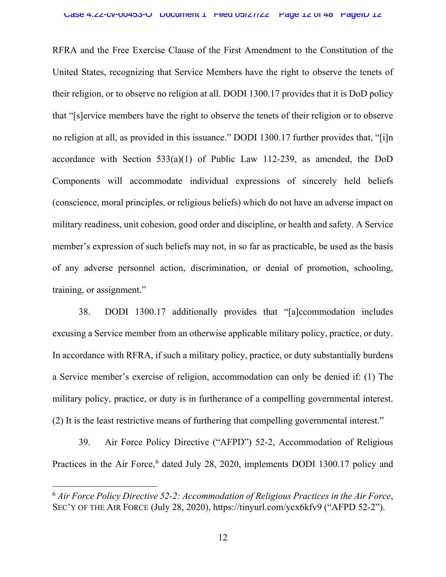RFRA and the Free Exercise Clause of the First Amendment to the Constitution of the United States, recognizing that Service Members have the right to observe the tenets of their religion, or to observe no religion at all. DODI 1300.17 provides that it is DoD policy that "[s]ervice members have the right to observe the tenets of their religion or to observe no religion at all, as provided in this issuance." DODI 1300.17 further provides that, "[i]n accordance with Section  $533(a)(1)$  of Public Law 112-239, as amended, the DoD Components will accommodate individual expressions of sincerely held beliefs (conscience, moral principles, or religious beliefs) which do not have an adverse impact on military readiness, unit cohesion, good order and discipline, or health and safety. A Service member's expression of such beliefs may not, in so far as practicable, be used as the basis of any adverse personnel action, discrimination, or denial of promotion, schooling, training, or assignment."

38. DODI 1300.17 additionally provides that "[a]ccommodation includes excusing a Service member from an otherwise applicable military policy, practice, or duty. In accordance with RFRA, if such a military policy, practice, or duty substantially burdens a Service member's exercise of religion, accommodation can only be denied if: (1) The military policy, practice, or duty is in furtherance of a compelling governmental interest. (2) It is the least restrictive means of furthering that compelling governmental interest."

39. Air Force Policy Directive ("AFPD") 52-2, Accommodation of Religious Practices in the Air Force,<sup>6</sup> dated July 28, 2020, implements DODI 1300.17 policy and

<sup>6</sup> *Air Force Policy Directive 52-2: Accommodation of Religious Practices in the Air Force*, SEC'Y OF THE AIR FORCE (July 28, 2020),<https://tinyurl.com/ycx6kfv9>("AFPD 52-2").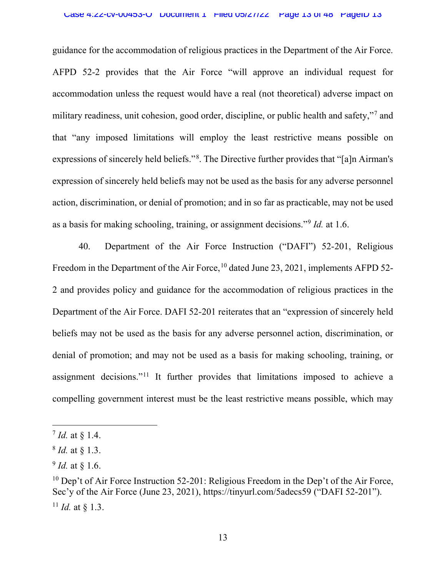guidance for the accommodation of religious practices in the Department of the Air Force. AFPD 52-2 provides that the Air Force "will approve an individual request for accommodation unless the request would have a real (not theoretical) adverse impact on military readiness, unit cohesion, good order, discipline, or public health and safety,"<sup>7</sup> and that "any imposed limitations will employ the least restrictive means possible on expressions of sincerely held beliefs."<sup>8</sup>. The Directive further provides that "[a]n Airman's expression of sincerely held beliefs may not be used as the basis for any adverse personnel action, discrimination, or denial of promotion; and in so far as practicable, may not be used as a basis for making schooling, training, or assignment decisions."9 *Id.* at 1.6.

40. Department of the Air Force Instruction ("DAFI") 52-201, Religious Freedom in the Department of the Air Force,  $10$  dated June 23, 2021, implements AFPD 52-2 and provides policy and guidance for the accommodation of religious practices in the Department of the Air Force. DAFI 52-201 reiterates that an "expression of sincerely held beliefs may not be used as the basis for any adverse personnel action, discrimination, or denial of promotion; and may not be used as a basis for making schooling, training, or assignment decisions."11 It further provides that limitations imposed to achieve a compelling government interest must be the least restrictive means possible, which may

<sup>7</sup> *Id.* at § 1.4.

<sup>8</sup> *Id.* at § 1.3.

<sup>9</sup> *Id.* at § 1.6.

 $10$  Dep't of Air Force Instruction 52-201: Religious Freedom in the Dep't of the Air Force, Sec'y of the Air Force (June 23, 2021),<https://tinyurl.com/5adecs59>("DAFI 52-201"). <sup>11</sup> *Id.* at § 1.3.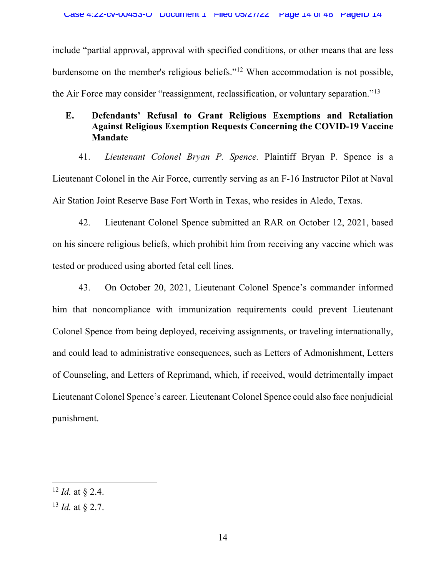include "partial approval, approval with specified conditions, or other means that are less burdensome on the member's religious beliefs."12 When accommodation is not possible, the Air Force may consider "reassignment, reclassification, or voluntary separation."13

# **E. Defendants' Refusal to Grant Religious Exemptions and Retaliation Against Religious Exemption Requests Concerning the COVID-19 Vaccine Mandate**

41. *Lieutenant Colonel Bryan P. Spence.*  Plaintiff Bryan P. Spence is a Lieutenant Colonel in the Air Force, currently serving as an F-16 Instructor Pilot at Naval Air Station Joint Reserve Base Fort Worth in Texas, who resides in Aledo, Texas.

42. Lieutenant Colonel Spence submitted an RAR on October 12, 2021, based on his sincere religious beliefs, which prohibit him from receiving any vaccine which was tested or produced using aborted fetal cell lines.

43. On October 20, 2021, Lieutenant Colonel Spence's commander informed him that noncompliance with immunization requirements could prevent Lieutenant Colonel Spence from being deployed, receiving assignments, or traveling internationally, and could lead to administrative consequences, such as Letters of Admonishment, Letters of Counseling, and Letters of Reprimand, which, if received, would detrimentally impact Lieutenant Colonel Spence's career. Lieutenant Colonel Spence could also face nonjudicial punishment.

<sup>12</sup> *Id.* at § 2.4.

<sup>13</sup> *Id.* at § 2.7.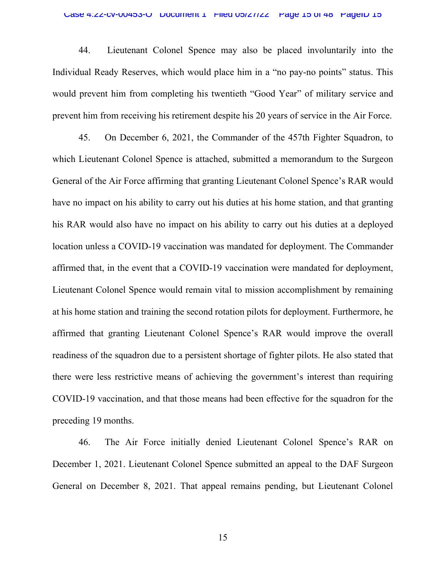44. Lieutenant Colonel Spence may also be placed involuntarily into the Individual Ready Reserves, which would place him in a "no pay-no points" status. This would prevent him from completing his twentieth "Good Year" of military service and prevent him from receiving his retirement despite his 20 years of service in the Air Force.

45. On December 6, 2021, the Commander of the 457th Fighter Squadron, to which Lieutenant Colonel Spence is attached, submitted a memorandum to the Surgeon General of the Air Force affirming that granting Lieutenant Colonel Spence's RAR would have no impact on his ability to carry out his duties at his home station, and that granting his RAR would also have no impact on his ability to carry out his duties at a deployed location unless a COVID-19 vaccination was mandated for deployment. The Commander affirmed that, in the event that a COVID-19 vaccination were mandated for deployment, Lieutenant Colonel Spence would remain vital to mission accomplishment by remaining at his home station and training the second rotation pilots for deployment. Furthermore, he affirmed that granting Lieutenant Colonel Spence's RAR would improve the overall readiness of the squadron due to a persistent shortage of fighter pilots. He also stated that there were less restrictive means of achieving the government's interest than requiring COVID-19 vaccination, and that those means had been effective for the squadron for the preceding 19 months.

46. The Air Force initially denied Lieutenant Colonel Spence's RAR on December 1, 2021. Lieutenant Colonel Spence submitted an appeal to the DAF Surgeon General on December 8, 2021. That appeal remains pending, but Lieutenant Colonel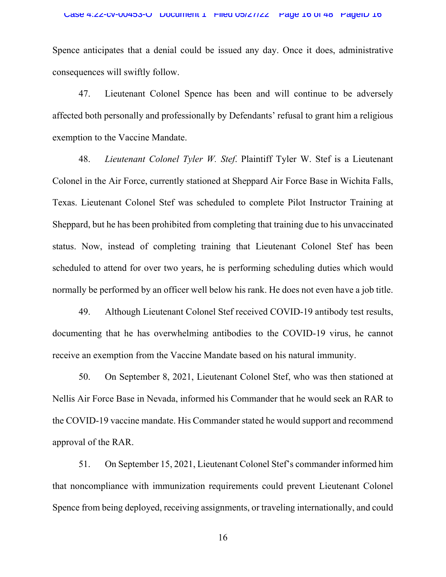Spence anticipates that a denial could be issued any day. Once it does, administrative consequences will swiftly follow.

47. Lieutenant Colonel Spence has been and will continue to be adversely affected both personally and professionally by Defendants' refusal to grant him a religious exemption to the Vaccine Mandate.

48. *Lieutenant Colonel Tyler W. Stef.* Plaintiff Tyler W. Stef is a Lieutenant Colonel in the Air Force, currently stationed at Sheppard Air Force Base in Wichita Falls, Texas. Lieutenant Colonel Stef was scheduled to complete Pilot Instructor Training at Sheppard, but he has been prohibited from completing that training due to his unvaccinated status. Now, instead of completing training that Lieutenant Colonel Stef has been scheduled to attend for over two years, he is performing scheduling duties which would normally be performed by an officer well below his rank. He does not even have a job title.

49. Although Lieutenant Colonel Stef received COVID-19 antibody test results, documenting that he has overwhelming antibodies to the COVID-19 virus, he cannot receive an exemption from the Vaccine Mandate based on his natural immunity.

50. On September 8, 2021, Lieutenant Colonel Stef, who was then stationed at Nellis Air Force Base in Nevada, informed his Commander that he would seek an RAR to the COVID-19 vaccine mandate. His Commander stated he would support and recommend approval of the RAR.

51. On September 15, 2021, Lieutenant Colonel Stef's commander informed him that noncompliance with immunization requirements could prevent Lieutenant Colonel Spence from being deployed, receiving assignments, or traveling internationally, and could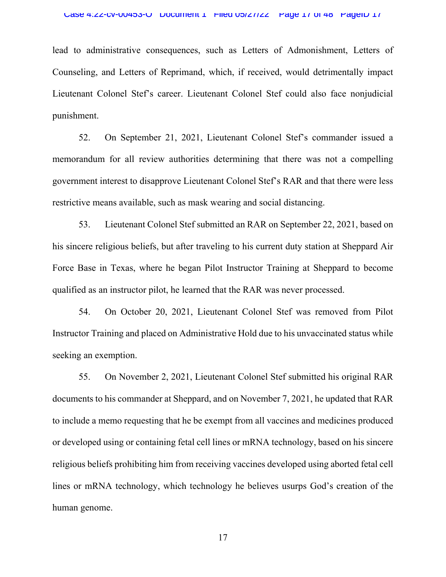lead to administrative consequences, such as Letters of Admonishment, Letters of Counseling, and Letters of Reprimand, which, if received, would detrimentally impact Lieutenant Colonel Stef's career. Lieutenant Colonel Stef could also face nonjudicial punishment.

52. On September 21, 2021, Lieutenant Colonel Stef's commander issued a memorandum for all review authorities determining that there was not a compelling government interest to disapprove Lieutenant Colonel Stef's RAR and that there were less restrictive means available, such as mask wearing and social distancing.

53. Lieutenant Colonel Stef submitted an RAR on September 22, 2021, based on his sincere religious beliefs, but after traveling to his current duty station at Sheppard Air Force Base in Texas, where he began Pilot Instructor Training at Sheppard to become qualified as an instructor pilot, he learned that the RAR was never processed.

54. On October 20, 2021, Lieutenant Colonel Stef was removed from Pilot Instructor Training and placed on Administrative Hold due to his unvaccinated status while seeking an exemption.

55. On November 2, 2021, Lieutenant Colonel Stef submitted his original RAR documents to his commander at Sheppard, and on November 7, 2021, he updated that RAR to include a memo requesting that he be exempt from all vaccines and medicines produced or developed using or containing fetal cell lines or mRNA technology, based on his sincere religious beliefs prohibiting him from receiving vaccines developed using aborted fetal cell lines or mRNA technology, which technology he believes usurps God's creation of the human genome.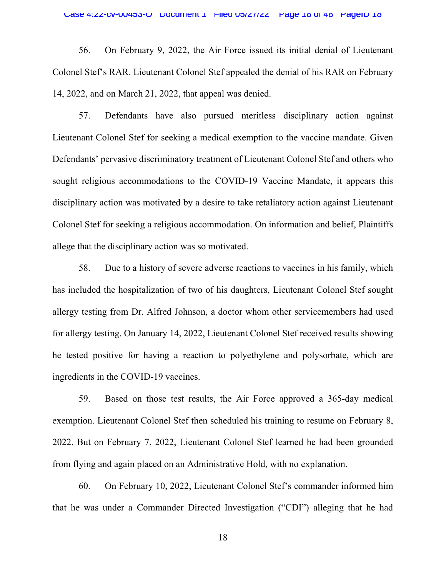56. On February 9, 2022, the Air Force issued its initial denial of Lieutenant Colonel Stef's RAR. Lieutenant Colonel Stef appealed the denial of his RAR on February 14, 2022, and on March 21, 2022, that appeal was denied.

57. Defendants have also pursued meritless disciplinary action against Lieutenant Colonel Stef for seeking a medical exemption to the vaccine mandate. Given Defendants' pervasive discriminatory treatment of Lieutenant Colonel Stef and others who sought religious accommodations to the COVID-19 Vaccine Mandate, it appears this disciplinary action was motivated by a desire to take retaliatory action against Lieutenant Colonel Stef for seeking a religious accommodation. On information and belief, Plaintiffs allege that the disciplinary action was so motivated.

58. Due to a history of severe adverse reactions to vaccines in his family, which has included the hospitalization of two of his daughters, Lieutenant Colonel Stef sought allergy testing from Dr. Alfred Johnson, a doctor whom other servicemembers had used for allergy testing. On January 14, 2022, Lieutenant Colonel Stef received results showing he tested positive for having a reaction to polyethylene and polysorbate, which are ingredients in the COVID-19 vaccines.

59. Based on those test results, the Air Force approved a 365-day medical exemption. Lieutenant Colonel Stef then scheduled his training to resume on February 8, 2022. But on February 7, 2022, Lieutenant Colonel Stef learned he had been grounded from flying and again placed on an Administrative Hold, with no explanation.

60. On February 10, 2022, Lieutenant Colonel Stef's commander informed him that he was under a Commander Directed Investigation ("CDI") alleging that he had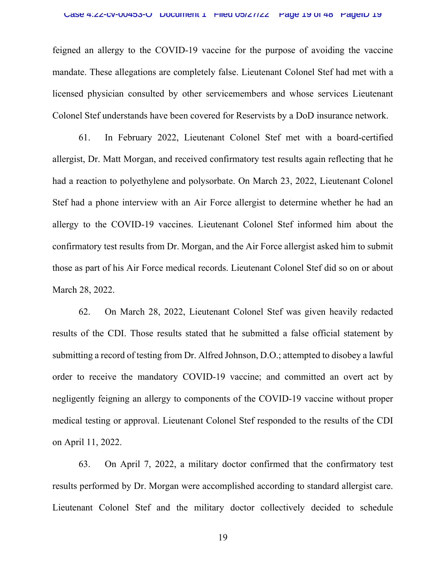feigned an allergy to the COVID-19 vaccine for the purpose of avoiding the vaccine mandate. These allegations are completely false. Lieutenant Colonel Stef had met with a licensed physician consulted by other servicemembers and whose services Lieutenant Colonel Stef understands have been covered for Reservists by a DoD insurance network.

61. In February 2022, Lieutenant Colonel Stef met with a board-certified allergist, Dr. Matt Morgan, and received confirmatory test results again reflecting that he had a reaction to polyethylene and polysorbate. On March 23, 2022, Lieutenant Colonel Stef had a phone interview with an Air Force allergist to determine whether he had an allergy to the COVID-19 vaccines. Lieutenant Colonel Stef informed him about the confirmatory test results from Dr. Morgan, and the Air Force allergist asked him to submit those as part of his Air Force medical records. Lieutenant Colonel Stef did so on or about March 28, 2022.

62. On March 28, 2022, Lieutenant Colonel Stef was given heavily redacted results of the CDI. Those results stated that he submitted a false official statement by submitting a record of testing from Dr. Alfred Johnson, D.O.; attempted to disobey a lawful order to receive the mandatory COVID-19 vaccine; and committed an overt act by negligently feigning an allergy to components of the COVID-19 vaccine without proper medical testing or approval. Lieutenant Colonel Stef responded to the results of the CDI on April 11, 2022.

63. On April 7, 2022, a military doctor confirmed that the confirmatory test results performed by Dr. Morgan were accomplished according to standard allergist care. Lieutenant Colonel Stef and the military doctor collectively decided to schedule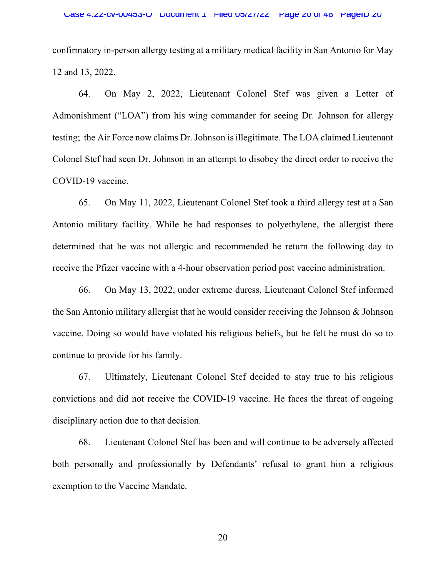confirmatory in-person allergy testing at a military medical facility in San Antonio for May 12 and 13, 2022.

64. On May 2, 2022, Lieutenant Colonel Stef was given a Letter of Admonishment ("LOA") from his wing commander for seeing Dr. Johnson for allergy testing; the Air Force now claims Dr. Johnson is illegitimate. The LOA claimed Lieutenant Colonel Stef had seen Dr. Johnson in an attempt to disobey the direct order to receive the COVID-19 vaccine.

65. On May 11, 2022, Lieutenant Colonel Stef took a third allergy test at a San Antonio military facility. While he had responses to polyethylene, the allergist there determined that he was not allergic and recommended he return the following day to receive the Pfizer vaccine with a 4-hour observation period post vaccine administration.

66. On May 13, 2022, under extreme duress, Lieutenant Colonel Stef informed the San Antonio military allergist that he would consider receiving the Johnson & Johnson vaccine. Doing so would have violated his religious beliefs, but he felt he must do so to continue to provide for his family.

67. Ultimately, Lieutenant Colonel Stef decided to stay true to his religious convictions and did not receive the COVID-19 vaccine. He faces the threat of ongoing disciplinary action due to that decision.

68. Lieutenant Colonel Stef has been and will continue to be adversely affected both personally and professionally by Defendants' refusal to grant him a religious exemption to the Vaccine Mandate.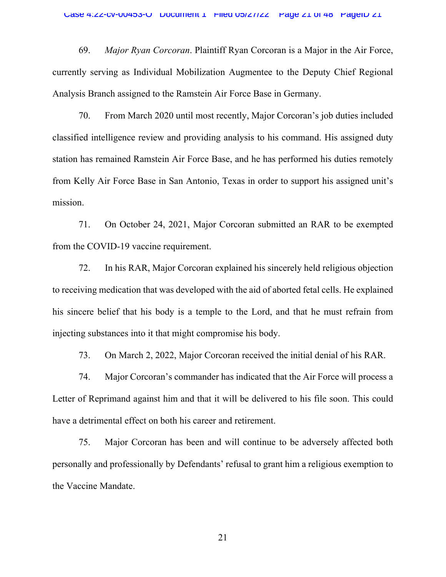69. *Major Ryan Corcoran*. Plaintiff Ryan Corcoran is a Major in the Air Force, currently serving as Individual Mobilization Augmentee to the Deputy Chief Regional Analysis Branch assigned to the Ramstein Air Force Base in Germany.

70. From March 2020 until most recently, Major Corcoran's job duties included classified intelligence review and providing analysis to his command. His assigned duty station has remained Ramstein Air Force Base, and he has performed his duties remotely from Kelly Air Force Base in San Antonio, Texas in order to support his assigned unit's mission.

71. On October 24, 2021, Major Corcoran submitted an RAR to be exempted from the COVID-19 vaccine requirement.

72. In his RAR, Major Corcoran explained his sincerely held religious objection to receiving medication that was developed with the aid of aborted fetal cells. He explained his sincere belief that his body is a temple to the Lord, and that he must refrain from injecting substances into it that might compromise his body.

73. On March 2, 2022, Major Corcoran received the initial denial of his RAR.

74. Major Corcoran's commander has indicated that the Air Force will process a Letter of Reprimand against him and that it will be delivered to his file soon. This could have a detrimental effect on both his career and retirement.

75. Major Corcoran has been and will continue to be adversely affected both personally and professionally by Defendants' refusal to grant him a religious exemption to the Vaccine Mandate.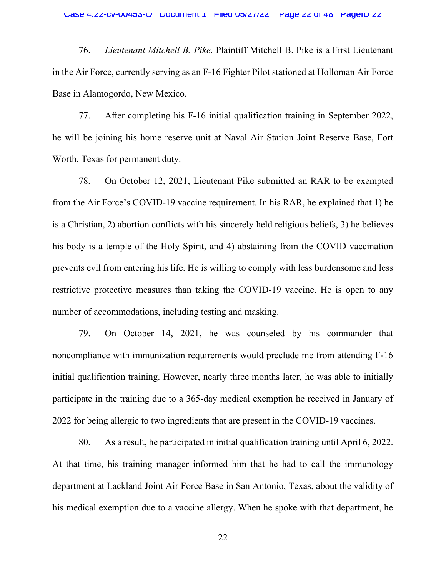76. *Lieutenant Mitchell B. Pike*. Plaintiff Mitchell B. Pike is a First Lieutenant in the Air Force, currently serving as an F-16 Fighter Pilot stationed at Holloman Air Force Base in Alamogordo, New Mexico.

77. After completing his F-16 initial qualification training in September 2022, he will be joining his home reserve unit at Naval Air Station Joint Reserve Base, Fort Worth, Texas for permanent duty.

78. On October 12, 2021, Lieutenant Pike submitted an RAR to be exempted from the Air Force's COVID-19 vaccine requirement. In his RAR, he explained that 1) he is a Christian, 2) abortion conflicts with his sincerely held religious beliefs, 3) he believes his body is a temple of the Holy Spirit, and 4) abstaining from the COVID vaccination prevents evil from entering his life. He is willing to comply with less burdensome and less restrictive protective measures than taking the COVID-19 vaccine. He is open to any number of accommodations, including testing and masking.

79. On October 14, 2021, he was counseled by his commander that noncompliance with immunization requirements would preclude me from attending F-16 initial qualification training. However, nearly three months later, he was able to initially participate in the training due to a 365-day medical exemption he received in January of 2022 for being allergic to two ingredients that are present in the COVID-19 vaccines.

80. As a result, he participated in initial qualification training until April 6, 2022. At that time, his training manager informed him that he had to call the immunology department at Lackland Joint Air Force Base in San Antonio, Texas, about the validity of his medical exemption due to a vaccine allergy. When he spoke with that department, he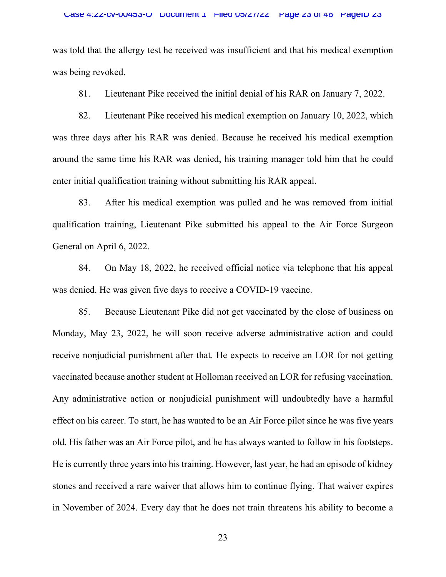was told that the allergy test he received was insufficient and that his medical exemption was being revoked.

81. Lieutenant Pike received the initial denial of his RAR on January 7, 2022.

82. Lieutenant Pike received his medical exemption on January 10, 2022, which was three days after his RAR was denied. Because he received his medical exemption around the same time his RAR was denied, his training manager told him that he could enter initial qualification training without submitting his RAR appeal.

83. After his medical exemption was pulled and he was removed from initial qualification training, Lieutenant Pike submitted his appeal to the Air Force Surgeon General on April 6, 2022.

84. On May 18, 2022, he received official notice via telephone that his appeal was denied. He was given five days to receive a COVID-19 vaccine.

85. Because Lieutenant Pike did not get vaccinated by the close of business on Monday, May 23, 2022, he will soon receive adverse administrative action and could receive nonjudicial punishment after that. He expects to receive an LOR for not getting vaccinated because another student at Holloman received an LOR for refusing vaccination. Any administrative action or nonjudicial punishment will undoubtedly have a harmful effect on his career. To start, he has wanted to be an Air Force pilot since he was five years old. His father was an Air Force pilot, and he has always wanted to follow in his footsteps. He is currently three years into his training. However, last year, he had an episode of kidney stones and received a rare waiver that allows him to continue flying. That waiver expires in November of 2024. Every day that he does not train threatens his ability to become a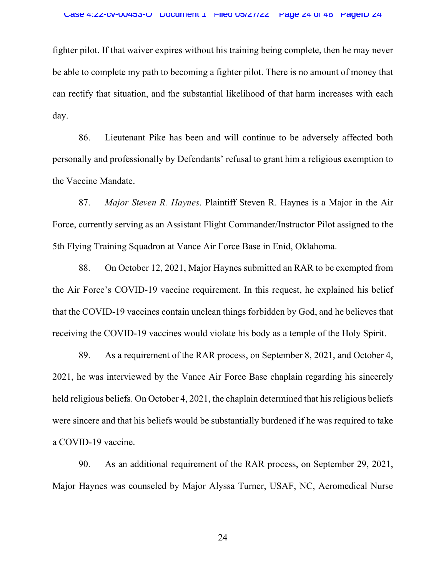fighter pilot. If that waiver expires without his training being complete, then he may never be able to complete my path to becoming a fighter pilot. There is no amount of money that can rectify that situation, and the substantial likelihood of that harm increases with each day.

86. Lieutenant Pike has been and will continue to be adversely affected both personally and professionally by Defendants' refusal to grant him a religious exemption to the Vaccine Mandate.

87. *Major Steven R. Haynes*. Plaintiff Steven R. Haynes is a Major in the Air Force, currently serving as an Assistant Flight Commander/Instructor Pilot assigned to the 5th Flying Training Squadron at Vance Air Force Base in Enid, Oklahoma.

88. On October 12, 2021, Major Haynes submitted an RAR to be exempted from the Air Force's COVID-19 vaccine requirement. In this request, he explained his belief that the COVID-19 vaccines contain unclean things forbidden by God, and he believes that receiving the COVID-19 vaccines would violate his body as a temple of the Holy Spirit.

89. As a requirement of the RAR process, on September 8, 2021, and October 4, 2021, he was interviewed by the Vance Air Force Base chaplain regarding his sincerely held religious beliefs. On October 4, 2021, the chaplain determined that his religious beliefs were sincere and that his beliefs would be substantially burdened if he was required to take a COVID-19 vaccine.

90. As an additional requirement of the RAR process, on September 29, 2021, Major Haynes was counseled by Major Alyssa Turner, USAF, NC, Aeromedical Nurse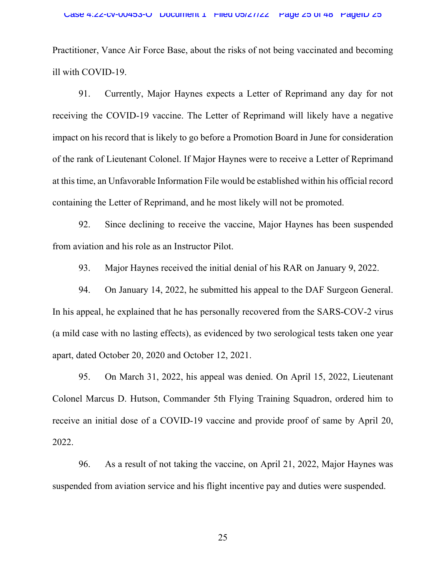Practitioner, Vance Air Force Base, about the risks of not being vaccinated and becoming ill with COVID-19.

91. Currently, Major Haynes expects a Letter of Reprimand any day for not receiving the COVID-19 vaccine. The Letter of Reprimand will likely have a negative impact on his record that is likely to go before a Promotion Board in June for consideration of the rank of Lieutenant Colonel. If Major Haynes were to receive a Letter of Reprimand at this time, an Unfavorable Information File would be established within his official record containing the Letter of Reprimand, and he most likely will not be promoted.

92. Since declining to receive the vaccine, Major Haynes has been suspended from aviation and his role as an Instructor Pilot.

93. Major Haynes received the initial denial of his RAR on January 9, 2022.

94. On January 14, 2022, he submitted his appeal to the DAF Surgeon General. In his appeal, he explained that he has personally recovered from the SARS-COV-2 virus (a mild case with no lasting effects), as evidenced by two serological tests taken one year apart, dated October 20, 2020 and October 12, 2021.

95. On March 31, 2022, his appeal was denied. On April 15, 2022, Lieutenant Colonel Marcus D. Hutson, Commander 5th Flying Training Squadron, ordered him to receive an initial dose of a COVID-19 vaccine and provide proof of same by April 20, 2022.

96. As a result of not taking the vaccine, on April 21, 2022, Major Haynes was suspended from aviation service and his flight incentive pay and duties were suspended.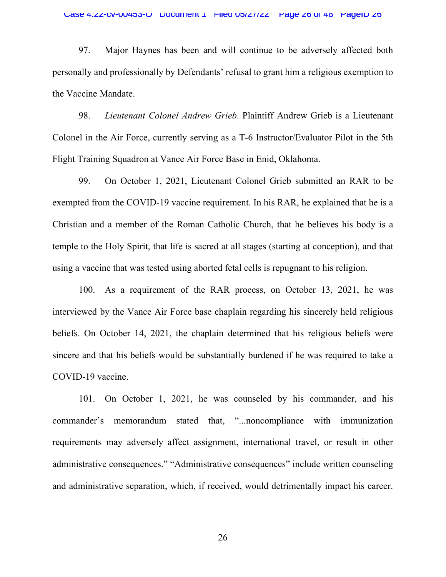97. Major Haynes has been and will continue to be adversely affected both personally and professionally by Defendants' refusal to grant him a religious exemption to the Vaccine Mandate.

98. *Lieutenant Colonel Andrew Grieb*. Plaintiff Andrew Grieb is a Lieutenant Colonel in the Air Force, currently serving as a T-6 Instructor/Evaluator Pilot in the 5th Flight Training Squadron at Vance Air Force Base in Enid, Oklahoma.

99. On October 1, 2021, Lieutenant Colonel Grieb submitted an RAR to be exempted from the COVID-19 vaccine requirement. In his RAR, he explained that he is a Christian and a member of the Roman Catholic Church, that he believes his body is a temple to the Holy Spirit, that life is sacred at all stages (starting at conception), and that using a vaccine that was tested using aborted fetal cells is repugnant to his religion.

100. As a requirement of the RAR process, on October 13, 2021, he was interviewed by the Vance Air Force base chaplain regarding his sincerely held religious beliefs. On October 14, 2021, the chaplain determined that his religious beliefs were sincere and that his beliefs would be substantially burdened if he was required to take a COVID-19 vaccine.

101. On October 1, 2021, he was counseled by his commander, and his commander's memorandum stated that, "...noncompliance with immunization requirements may adversely affect assignment, international travel, or result in other administrative consequences." "Administrative consequences" include written counseling and administrative separation, which, if received, would detrimentally impact his career.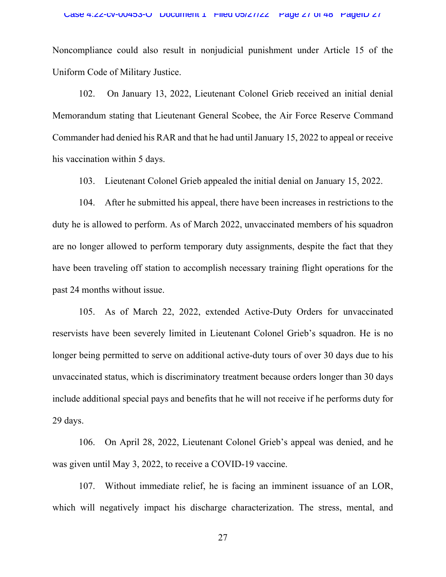Noncompliance could also result in nonjudicial punishment under Article 15 of the Uniform Code of Military Justice.

102. On January 13, 2022, Lieutenant Colonel Grieb received an initial denial Memorandum stating that Lieutenant General Scobee, the Air Force Reserve Command Commander had denied his RAR and that he had until January 15, 2022 to appeal or receive his vaccination within 5 days.

103. Lieutenant Colonel Grieb appealed the initial denial on January 15, 2022.

104. After he submitted his appeal, there have been increases in restrictions to the duty he is allowed to perform. As of March 2022, unvaccinated members of his squadron are no longer allowed to perform temporary duty assignments, despite the fact that they have been traveling off station to accomplish necessary training flight operations for the past 24 months without issue.

105. As of March 22, 2022, extended Active-Duty Orders for unvaccinated reservists have been severely limited in Lieutenant Colonel Grieb's squadron. He is no longer being permitted to serve on additional active-duty tours of over 30 days due to his unvaccinated status, which is discriminatory treatment because orders longer than 30 days include additional special pays and benefits that he will not receive if he performs duty for 29 days.

106. On April 28, 2022, Lieutenant Colonel Grieb's appeal was denied, and he was given until May 3, 2022, to receive a COVID-19 vaccine.

107. Without immediate relief, he is facing an imminent issuance of an LOR, which will negatively impact his discharge characterization. The stress, mental, and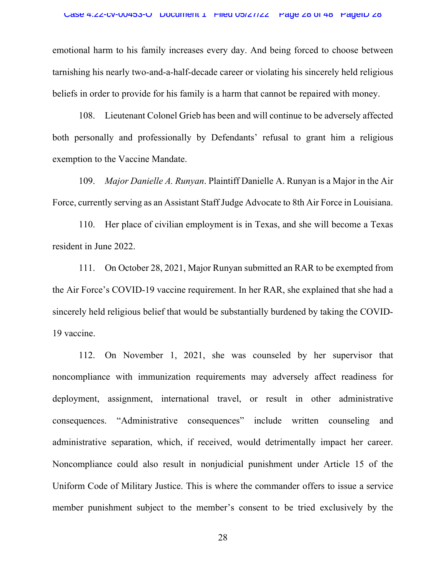emotional harm to his family increases every day. And being forced to choose between tarnishing his nearly two-and-a-half-decade career or violating his sincerely held religious beliefs in order to provide for his family is a harm that cannot be repaired with money.

108. Lieutenant Colonel Grieb has been and will continue to be adversely affected both personally and professionally by Defendants' refusal to grant him a religious exemption to the Vaccine Mandate.

109. *Major Danielle A. Runyan*. Plaintiff Danielle A. Runyan is a Major in the Air Force, currently serving as an Assistant Staff Judge Advocate to 8th Air Force in Louisiana.

110. Her place of civilian employment is in Texas, and she will become a Texas resident in June 2022.

111. On October 28, 2021, Major Runyan submitted an RAR to be exempted from the Air Force's COVID-19 vaccine requirement. In her RAR, she explained that she had a sincerely held religious belief that would be substantially burdened by taking the COVID-19 vaccine.

112. On November 1, 2021, she was counseled by her supervisor that noncompliance with immunization requirements may adversely affect readiness for deployment, assignment, international travel, or result in other administrative consequences. "Administrative consequences" include written counseling and administrative separation, which, if received, would detrimentally impact her career. Noncompliance could also result in nonjudicial punishment under Article 15 of the Uniform Code of Military Justice. This is where the commander offers to issue a service member punishment subject to the member's consent to be tried exclusively by the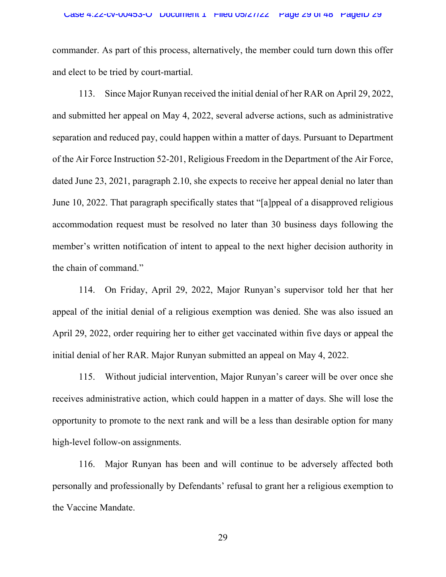commander. As part of this process, alternatively, the member could turn down this offer and elect to be tried by court-martial.

113. Since Major Runyan received the initial denial of her RAR on April 29, 2022, and submitted her appeal on May 4, 2022, several adverse actions, such as administrative separation and reduced pay, could happen within a matter of days. Pursuant to Department of the Air Force Instruction 52-201, Religious Freedom in the Department of the Air Force, dated June 23, 2021, paragraph 2.10, she expects to receive her appeal denial no later than June 10, 2022. That paragraph specifically states that "[a]ppeal of a disapproved religious accommodation request must be resolved no later than 30 business days following the member's written notification of intent to appeal to the next higher decision authority in the chain of command."

114. On Friday, April 29, 2022, Major Runyan's supervisor told her that her appeal of the initial denial of a religious exemption was denied. She was also issued an April 29, 2022, order requiring her to either get vaccinated within five days or appeal the initial denial of her RAR. Major Runyan submitted an appeal on May 4, 2022.

115. Without judicial intervention, Major Runyan's career will be over once she receives administrative action, which could happen in a matter of days. She will lose the opportunity to promote to the next rank and will be a less than desirable option for many high-level follow-on assignments.

116. Major Runyan has been and will continue to be adversely affected both personally and professionally by Defendants' refusal to grant her a religious exemption to the Vaccine Mandate.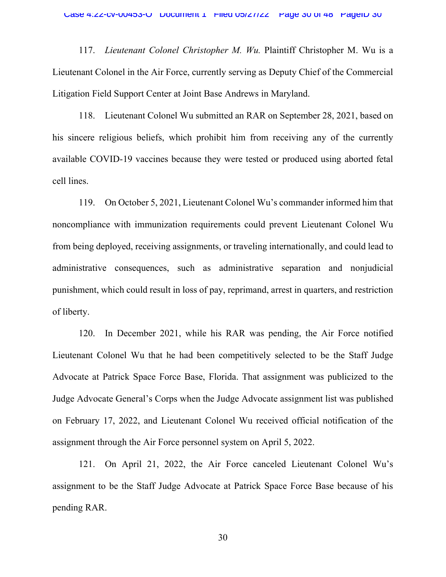117. *Lieutenant Colonel Christopher M. Wu.* Plaintiff Christopher M. Wu is a Lieutenant Colonel in the Air Force, currently serving as Deputy Chief of the Commercial Litigation Field Support Center at Joint Base Andrews in Maryland.

118. Lieutenant Colonel Wu submitted an RAR on September 28, 2021, based on his sincere religious beliefs, which prohibit him from receiving any of the currently available COVID-19 vaccines because they were tested or produced using aborted fetal cell lines.

119. On October 5, 2021, Lieutenant Colonel Wu's commander informed him that noncompliance with immunization requirements could prevent Lieutenant Colonel Wu from being deployed, receiving assignments, or traveling internationally, and could lead to administrative consequences, such as administrative separation and nonjudicial punishment, which could result in loss of pay, reprimand, arrest in quarters, and restriction of liberty.

120. In December 2021, while his RAR was pending, the Air Force notified Lieutenant Colonel Wu that he had been competitively selected to be the Staff Judge Advocate at Patrick Space Force Base, Florida. That assignment was publicized to the Judge Advocate General's Corps when the Judge Advocate assignment list was published on February 17, 2022, and Lieutenant Colonel Wu received official notification of the assignment through the Air Force personnel system on April 5, 2022.

121. On April 21, 2022, the Air Force canceled Lieutenant Colonel Wu's assignment to be the Staff Judge Advocate at Patrick Space Force Base because of his pending RAR.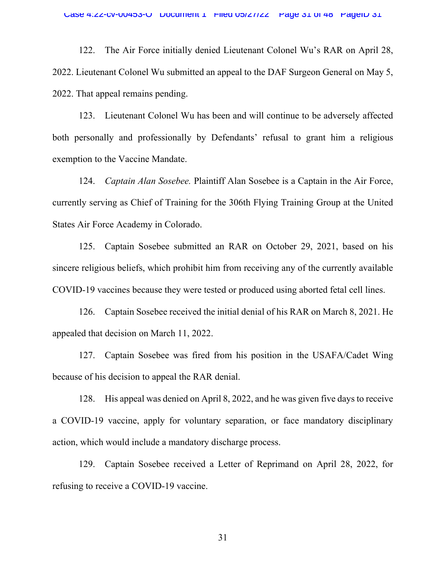122. The Air Force initially denied Lieutenant Colonel Wu's RAR on April 28, 2022. Lieutenant Colonel Wu submitted an appeal to the DAF Surgeon General on May 5, 2022. That appeal remains pending.

123. Lieutenant Colonel Wu has been and will continue to be adversely affected both personally and professionally by Defendants' refusal to grant him a religious exemption to the Vaccine Mandate.

124. *Captain Alan Sosebee.* Plaintiff Alan Sosebee is a Captain in the Air Force, currently serving as Chief of Training for the 306th Flying Training Group at the United States Air Force Academy in Colorado.

125. Captain Sosebee submitted an RAR on October 29, 2021, based on his sincere religious beliefs, which prohibit him from receiving any of the currently available COVID-19 vaccines because they were tested or produced using aborted fetal cell lines.

126. Captain Sosebee received the initial denial of his RAR on March 8, 2021. He appealed that decision on March 11, 2022.

127. Captain Sosebee was fired from his position in the USAFA/Cadet Wing because of his decision to appeal the RAR denial.

128. His appeal was denied on April 8, 2022, and he was given five days to receive a COVID-19 vaccine, apply for voluntary separation, or face mandatory disciplinary action, which would include a mandatory discharge process.

129. Captain Sosebee received a Letter of Reprimand on April 28, 2022, for refusing to receive a COVID-19 vaccine.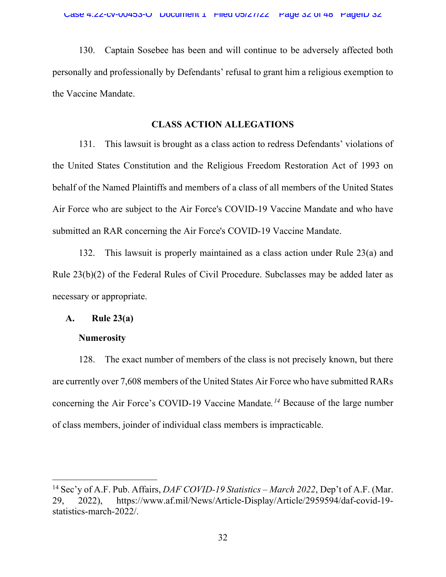130. Captain Sosebee has been and will continue to be adversely affected both personally and professionally by Defendants' refusal to grant him a religious exemption to the Vaccine Mandate.

### **CLASS ACTION ALLEGATIONS**

131. This lawsuit is brought as a class action to redress Defendants' violations of the United States Constitution and the Religious Freedom Restoration Act of 1993 on behalf of the Named Plaintiffs and members of a class of all members of the United States Air Force who are subject to the Air Force's COVID-19 Vaccine Mandate and who have submitted an RAR concerning the Air Force's COVID-19 Vaccine Mandate.

132. This lawsuit is properly maintained as a class action under Rule 23(a) and Rule 23(b)(2) of the Federal Rules of Civil Procedure. Subclasses may be added later as necessary or appropriate.

## **A. Rule 23(a)**

### **Numerosity**

128. The exact number of members of the class is not precisely known, but there are currently over 7,608 members of the United States Air Force who have submitted RARs concerning the Air Force's COVID-19 Vaccine Mandate*. <sup>14</sup>* Because of the large number of class members, joinder of individual class members is impracticable.

<sup>14</sup> Sec'y of A.F. Pub. Affairs, *DAF COVID-19 Statistics – March 2022*, Dep't of A.F. (Mar. 29, 2022), [https://www.af.mil/News/Article-Display/Article/2959594/daf-covid-19](https://www.af.mil/News/Article-Display/Article/2959594/daf-covid-19-statistics-march-2022/) [statistics-march-2022/.](https://www.af.mil/News/Article-Display/Article/2959594/daf-covid-19-statistics-march-2022/)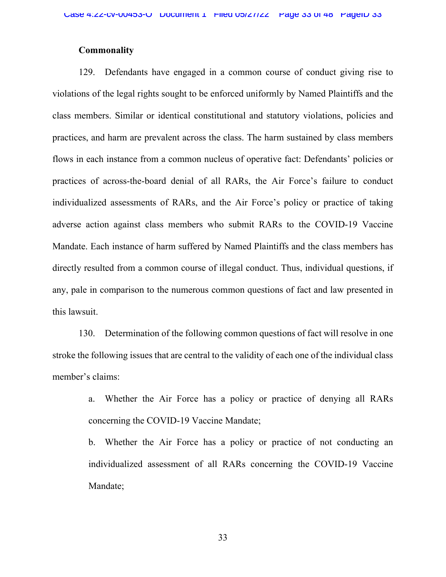### **Commonality**

129. Defendants have engaged in a common course of conduct giving rise to violations of the legal rights sought to be enforced uniformly by Named Plaintiffs and the class members. Similar or identical constitutional and statutory violations, policies and practices, and harm are prevalent across the class. The harm sustained by class members flows in each instance from a common nucleus of operative fact: Defendants' policies or practices of across-the-board denial of all RARs, the Air Force's failure to conduct individualized assessments of RARs, and the Air Force's policy or practice of taking adverse action against class members who submit RARs to the COVID-19 Vaccine Mandate. Each instance of harm suffered by Named Plaintiffs and the class members has directly resulted from a common course of illegal conduct. Thus, individual questions, if any, pale in comparison to the numerous common questions of fact and law presented in this lawsuit.

130. Determination of the following common questions of fact will resolve in one stroke the following issues that are central to the validity of each one of the individual class member's claims:

> a. Whether the Air Force has a policy or practice of denying all RARs concerning the COVID-19 Vaccine Mandate;

> b. Whether the Air Force has a policy or practice of not conducting an individualized assessment of all RARs concerning the COVID-19 Vaccine Mandate;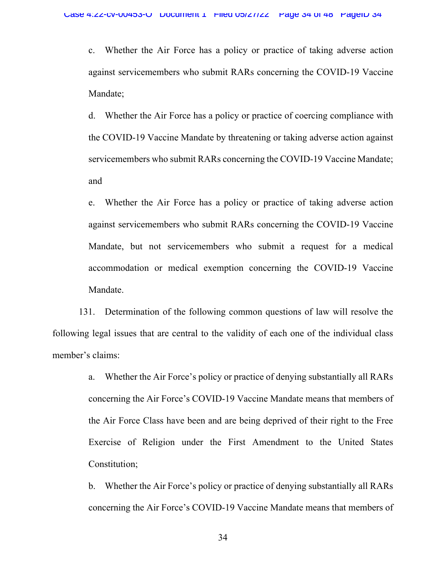c. Whether the Air Force has a policy or practice of taking adverse action against servicemembers who submit RARs concerning the COVID-19 Vaccine Mandate;

d. Whether the Air Force has a policy or practice of coercing compliance with the COVID-19 Vaccine Mandate by threatening or taking adverse action against servicemembers who submit RARs concerning the COVID-19 Vaccine Mandate; and

e. Whether the Air Force has a policy or practice of taking adverse action against servicemembers who submit RARs concerning the COVID-19 Vaccine Mandate, but not servicemembers who submit a request for a medical accommodation or medical exemption concerning the COVID-19 Vaccine Mandate.

131. Determination of the following common questions of law will resolve the following legal issues that are central to the validity of each one of the individual class member's claims:

> a. Whether the Air Force's policy or practice of denying substantially all RARs concerning the Air Force's COVID-19 Vaccine Mandate means that members of the Air Force Class have been and are being deprived of their right to the Free Exercise of Religion under the First Amendment to the United States Constitution;

> b. Whether the Air Force's policy or practice of denying substantially all RARs concerning the Air Force's COVID-19 Vaccine Mandate means that members of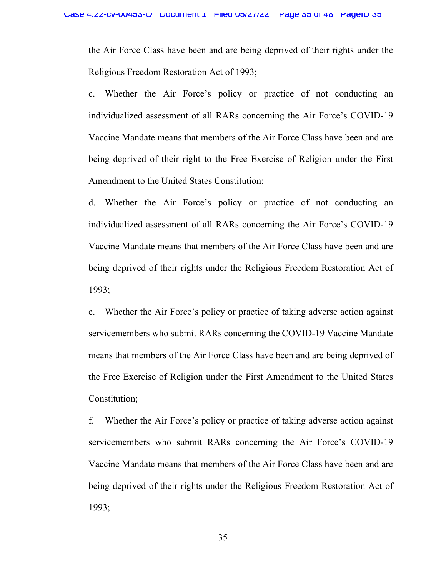the Air Force Class have been and are being deprived of their rights under the Religious Freedom Restoration Act of 1993;

c. Whether the Air Force's policy or practice of not conducting an individualized assessment of all RARs concerning the Air Force's COVID-19 Vaccine Mandate means that members of the Air Force Class have been and are being deprived of their right to the Free Exercise of Religion under the First Amendment to the United States Constitution;

d. Whether the Air Force's policy or practice of not conducting an individualized assessment of all RARs concerning the Air Force's COVID-19 Vaccine Mandate means that members of the Air Force Class have been and are being deprived of their rights under the Religious Freedom Restoration Act of 1993;

e. Whether the Air Force's policy or practice of taking adverse action against servicemembers who submit RARs concerning the COVID-19 Vaccine Mandate means that members of the Air Force Class have been and are being deprived of the Free Exercise of Religion under the First Amendment to the United States Constitution;

f. Whether the Air Force's policy or practice of taking adverse action against servicemembers who submit RARs concerning the Air Force's COVID-19 Vaccine Mandate means that members of the Air Force Class have been and are being deprived of their rights under the Religious Freedom Restoration Act of 1993;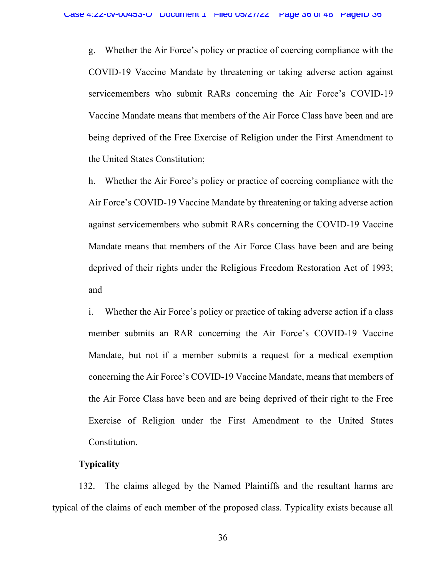g. Whether the Air Force's policy or practice of coercing compliance with the COVID-19 Vaccine Mandate by threatening or taking adverse action against servicemembers who submit RARs concerning the Air Force's COVID-19 Vaccine Mandate means that members of the Air Force Class have been and are being deprived of the Free Exercise of Religion under the First Amendment to the United States Constitution;

h. Whether the Air Force's policy or practice of coercing compliance with the Air Force's COVID-19 Vaccine Mandate by threatening or taking adverse action against servicemembers who submit RARs concerning the COVID-19 Vaccine Mandate means that members of the Air Force Class have been and are being deprived of their rights under the Religious Freedom Restoration Act of 1993; and

i. Whether the Air Force's policy or practice of taking adverse action if a class member submits an RAR concerning the Air Force's COVID-19 Vaccine Mandate, but not if a member submits a request for a medical exemption concerning the Air Force's COVID-19 Vaccine Mandate, means that members of the Air Force Class have been and are being deprived of their right to the Free Exercise of Religion under the First Amendment to the United States Constitution.

## **Typicality**

132. The claims alleged by the Named Plaintiffs and the resultant harms are typical of the claims of each member of the proposed class. Typicality exists because all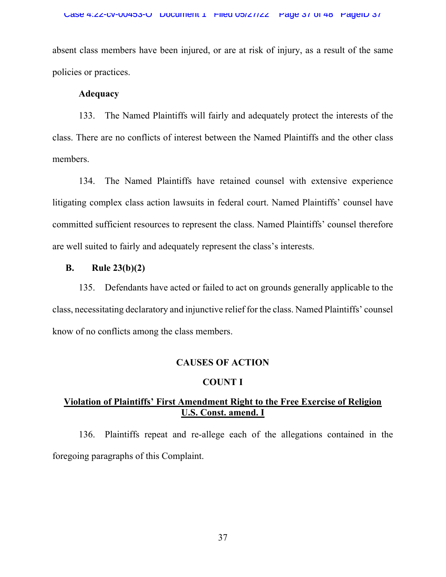absent class members have been injured, or are at risk of injury, as a result of the same policies or practices.

## **Adequacy**

133. The Named Plaintiffs will fairly and adequately protect the interests of the class. There are no conflicts of interest between the Named Plaintiffs and the other class members.

134. The Named Plaintiffs have retained counsel with extensive experience litigating complex class action lawsuits in federal court. Named Plaintiffs' counsel have committed sufficient resources to represent the class. Named Plaintiffs' counsel therefore are well suited to fairly and adequately represent the class's interests.

# **B. Rule 23(b)(2)**

135. Defendants have acted or failed to act on grounds generally applicable to the class, necessitating declaratory and injunctive relief for the class. Named Plaintiffs' counsel know of no conflicts among the class members.

# **CAUSES OF ACTION**

# **COUNT I**

# **Violation of Plaintiffs' First Amendment Right to the Free Exercise of Religion U.S. Const. amend. I**

136. Plaintiffs repeat and re-allege each of the allegations contained in the foregoing paragraphs of this Complaint.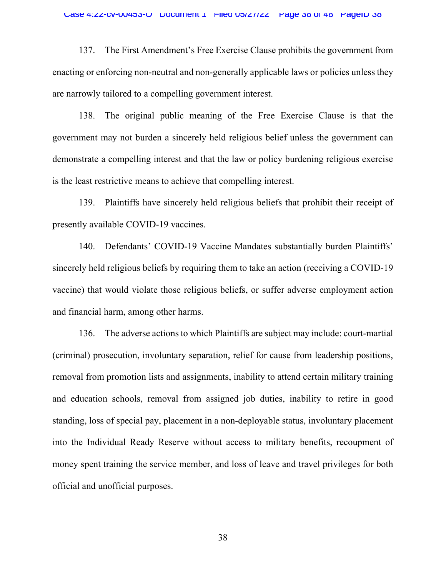137. The First Amendment's Free Exercise Clause prohibits the government from enacting or enforcing non-neutral and non-generally applicable laws or policies unless they are narrowly tailored to a compelling government interest.

138. The original public meaning of the Free Exercise Clause is that the government may not burden a sincerely held religious belief unless the government can demonstrate a compelling interest and that the law or policy burdening religious exercise is the least restrictive means to achieve that compelling interest.

139. Plaintiffs have sincerely held religious beliefs that prohibit their receipt of presently available COVID-19 vaccines.

140. Defendants' COVID-19 Vaccine Mandates substantially burden Plaintiffs' sincerely held religious beliefs by requiring them to take an action (receiving a COVID-19 vaccine) that would violate those religious beliefs, or suffer adverse employment action and financial harm, among other harms.

136. The adverse actions to which Plaintiffs are subject may include: court-martial (criminal) prosecution, involuntary separation, relief for cause from leadership positions, removal from promotion lists and assignments, inability to attend certain military training and education schools, removal from assigned job duties, inability to retire in good standing, loss of special pay, placement in a non-deployable status, involuntary placement into the Individual Ready Reserve without access to military benefits, recoupment of money spent training the service member, and loss of leave and travel privileges for both official and unofficial purposes.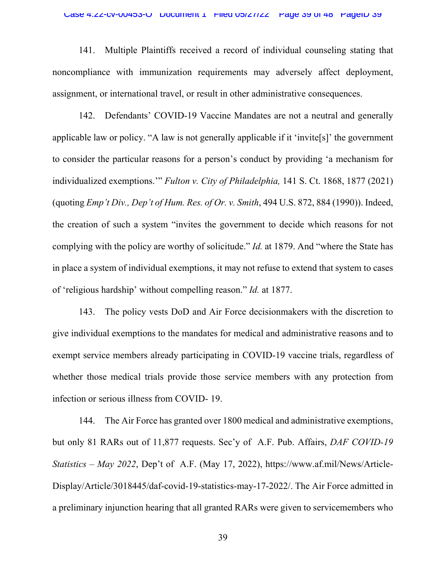141. Multiple Plaintiffs received a record of individual counseling stating that noncompliance with immunization requirements may adversely affect deployment, assignment, or international travel, or result in other administrative consequences.

142. Defendants' COVID-19 Vaccine Mandates are not a neutral and generally applicable law or policy. "A law is not generally applicable if it 'invite[s]' the government to consider the particular reasons for a person's conduct by providing 'a mechanism for individualized exemptions.'" *Fulton v. City of Philadelphia,* 141 S. Ct. 1868, 1877 (2021) (quoting *Emp't Div., Dep't of Hum. Res. of Or. v. Smith*, 494 U.S. 872, 884 (1990)). Indeed, the creation of such a system "invites the government to decide which reasons for not complying with the policy are worthy of solicitude." *Id.* at 1879. And "where the State has in place a system of individual exemptions, it may not refuse to extend that system to cases of 'religious hardship' without compelling reason." *Id.* at 1877.

143. The policy vests DoD and Air Force decisionmakers with the discretion to give individual exemptions to the mandates for medical and administrative reasons and to exempt service members already participating in COVID-19 vaccine trials, regardless of whether those medical trials provide those service members with any protection from infection or serious illness from COVID- 19.

144. The Air Force has granted over 1800 medical and administrative exemptions, but only 81 RARs out of 11,877 requests. Sec'y of A.F. Pub. Affairs, *DAF COVID-19 Statistics – May 2022*, Dep't of A.F. (May 17, 2022), [https://www.af.mil/News/Article-](https://www.af.mil/News/Article-Display/Article/3018445/daf-covid-19-statistics-may-17-2022/)[Display/Article/3018445/daf-covid-19-statistics-may-17-2022/.](https://www.af.mil/News/Article-Display/Article/3018445/daf-covid-19-statistics-may-17-2022/) The Air Force admitted in a preliminary injunction hearing that all granted RARs were given to servicemembers who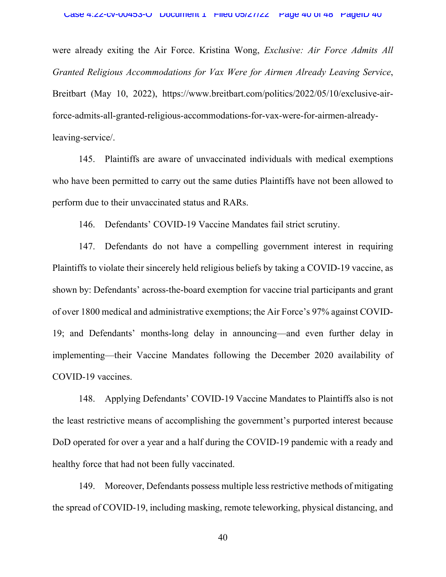were already exiting the Air Force. Kristina Wong, *Exclusive: Air Force Admits All Granted Religious Accommodations for Vax Were for Airmen Already Leaving Service*, Breitbart (May 10, 2022), [https://www.breitbart.com/politics/2022/05/10/exclusive-air](https://www.breitbart.com/politics/2022/05/10/exclusive-air-force-admits-all-granted-religious-accommodations-for-vax-were-for-airmen-already-leaving-service/)[force-admits-all-granted-religious-accommodations-for-vax-were-for-airmen-already](https://www.breitbart.com/politics/2022/05/10/exclusive-air-force-admits-all-granted-religious-accommodations-for-vax-were-for-airmen-already-leaving-service/)[leaving-service/.](https://www.breitbart.com/politics/2022/05/10/exclusive-air-force-admits-all-granted-religious-accommodations-for-vax-were-for-airmen-already-leaving-service/)

145. Plaintiffs are aware of unvaccinated individuals with medical exemptions who have been permitted to carry out the same duties Plaintiffs have not been allowed to perform due to their unvaccinated status and RARs.

146. Defendants' COVID-19 Vaccine Mandates fail strict scrutiny.

147. Defendants do not have a compelling government interest in requiring Plaintiffs to violate their sincerely held religious beliefs by taking a COVID-19 vaccine, as shown by: Defendants' across-the-board exemption for vaccine trial participants and grant of over 1800 medical and administrative exemptions; the Air Force's 97% against COVID-19; and Defendants' months-long delay in announcing—and even further delay in implementing—their Vaccine Mandates following the December 2020 availability of COVID-19 vaccines.

148. Applying Defendants' COVID-19 Vaccine Mandates to Plaintiffs also is not the least restrictive means of accomplishing the government's purported interest because DoD operated for over a year and a half during the COVID-19 pandemic with a ready and healthy force that had not been fully vaccinated.

149. Moreover, Defendants possess multiple less restrictive methods of mitigating the spread of COVID-19, including masking, remote teleworking, physical distancing, and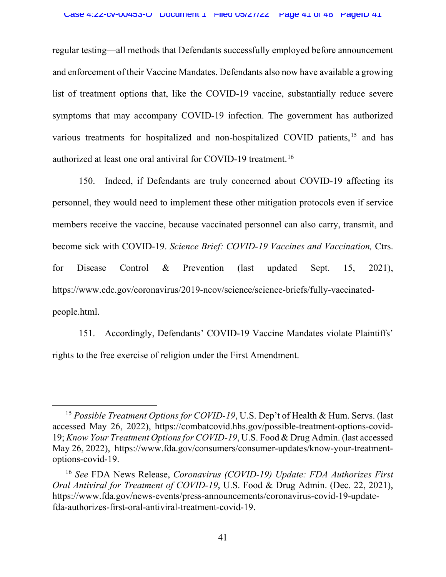regular testing—all methods that Defendants successfully employed before announcement and enforcement of their Vaccine Mandates. Defendants also now have available a growing list of treatment options that, like the COVID-19 vaccine, substantially reduce severe symptoms that may accompany COVID-19 infection. The government has authorized various treatments for hospitalized and non-hospitalized COVID patients,<sup>15</sup> and has authorized at least one oral antiviral for COVID-19 treatment.<sup>16</sup>

150. Indeed, if Defendants are truly concerned about COVID-19 affecting its personnel, they would need to implement these other mitigation protocols even if service members receive the vaccine, because vaccinated personnel can also carry, transmit, and become sick with COVID-19. *Science Brief: COVID-19 Vaccines and Vaccination,* Ctrs. for Disease Control & Prevention (last updated Sept. 15, 2021), [https://www.cdc.gov/coronavirus/2019-ncov/science/science-briefs/fully-vaccinated](https://www.cdc.gov/coronavirus/2019-ncov/science/science-briefs/fully-vaccinated-people.html)[people.html.](https://www.cdc.gov/coronavirus/2019-ncov/science/science-briefs/fully-vaccinated-people.html)

151. Accordingly, Defendants' COVID-19 Vaccine Mandates violate Plaintiffs' rights to the free exercise of religion under the First Amendment.

<sup>&</sup>lt;sup>15</sup> *Possible Treatment Options for COVID-19*, U.S. Dep't of Health & Hum. Servs. (last accessed May 26, 2022), [https://combatcovid.hhs.gov/possible-treatment-options-covid-](https://combatcovid.hhs.gov/possible-treatment-options-covid-19)[19;](https://combatcovid.hhs.gov/possible-treatment-options-covid-19) *Know Your Treatment Options for COVID-19*, U.S. Food & Drug Admin. (last accessed May 26, 2022), [https://www.fda.gov/consumers/consumer-updates/know-your-treatment](https://www.fda.gov/consumers/consumer-updates/know-your-treatment-options-covid-19)[options-covid-19.](https://www.fda.gov/consumers/consumer-updates/know-your-treatment-options-covid-19)

<sup>16</sup> *See* FDA News Release, *Coronavirus (COVID-19) Update: FDA Authorizes First Oral Antiviral for Treatment of COVID-19*, U.S. Food & Drug Admin. (Dec. 22, 2021), [https://www.fda.gov/news-events/press-announcements/coronavirus-covid-19-update](https://www.fda.gov/news-events/press-announcements/coronavirus-covid-19-update-fda-authorizes-first-oral-antiviral-treatment-covid-19)[fda-authorizes-first-oral-antiviral-treatment-covid-19.](https://www.fda.gov/news-events/press-announcements/coronavirus-covid-19-update-fda-authorizes-first-oral-antiviral-treatment-covid-19)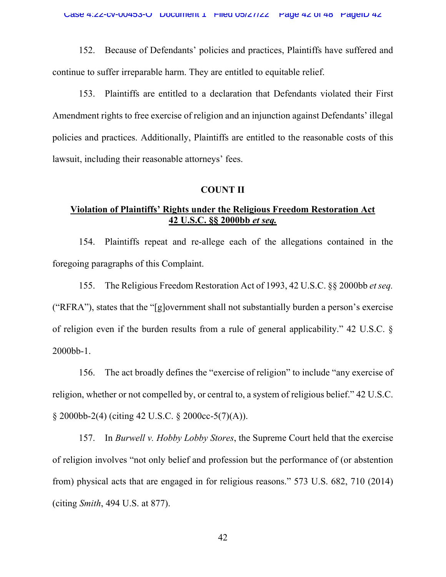152. Because of Defendants' policies and practices, Plaintiffs have suffered and continue to suffer irreparable harm. They are entitled to equitable relief.

153. Plaintiffs are entitled to a declaration that Defendants violated their First Amendment rights to free exercise of religion and an injunction against Defendants' illegal policies and practices. Additionally, Plaintiffs are entitled to the reasonable costs of this lawsuit, including their reasonable attorneys' fees.

## **COUNT II**

## **Violation of Plaintiffs' Rights under the Religious Freedom Restoration Act 42 U.S.C. §§ 2000bb** *et seq.*

154. Plaintiffs repeat and re-allege each of the allegations contained in the foregoing paragraphs of this Complaint.

155. The Religious Freedom Restoration Act of 1993, 42 U.S.C. §§ 2000bb *et seq.* ("RFRA"), states that the "[g]overnment shall not substantially burden a person's exercise of religion even if the burden results from a rule of general applicability." 42 U.S.C. § 2000bb-1.

156. The act broadly defines the "exercise of religion" to include "any exercise of religion, whether or not compelled by, or central to, a system of religious belief." 42 U.S.C. § 2000bb-2(4) (citing 42 U.S.C. § 2000cc-5(7)(A)).

157. In *Burwell v. Hobby Lobby Stores*, the Supreme Court held that the exercise of religion involves "not only belief and profession but the performance of (or abstention from) physical acts that are engaged in for religious reasons." 573 U.S. 682, 710 (2014) (citing *Smith*, 494 U.S. at 877).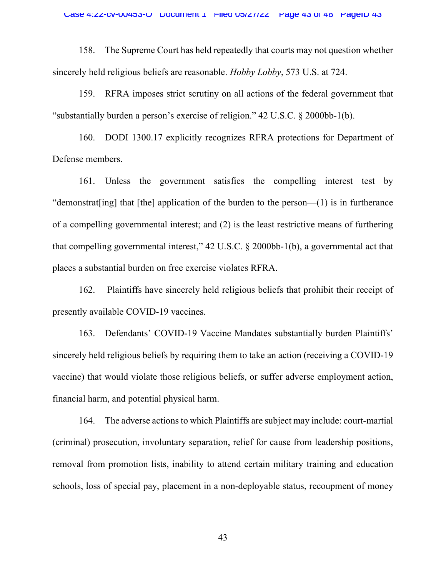158. The Supreme Court has held repeatedly that courts may not question whether sincerely held religious beliefs are reasonable. *Hobby Lobby*, 573 U.S. at 724.

159. RFRA imposes strict scrutiny on all actions of the federal government that "substantially burden a person's exercise of religion." 42 U.S.C. § 2000bb-1(b).

160. DODI 1300.17 explicitly recognizes RFRA protections for Department of Defense members.

161. Unless the government satisfies the compelling interest test by "demonstrat[ing] that [the] application of the burden to the person—(1) is in furtherance of a compelling governmental interest; and (2) is the least restrictive means of furthering that compelling governmental interest," 42 U.S.C. § 2000bb-1(b), a governmental act that places a substantial burden on free exercise violates RFRA.

162. Plaintiffs have sincerely held religious beliefs that prohibit their receipt of presently available COVID-19 vaccines.

163. Defendants' COVID-19 Vaccine Mandates substantially burden Plaintiffs' sincerely held religious beliefs by requiring them to take an action (receiving a COVID-19 vaccine) that would violate those religious beliefs, or suffer adverse employment action, financial harm, and potential physical harm.

164. The adverse actions to which Plaintiffs are subject may include: court-martial (criminal) prosecution, involuntary separation, relief for cause from leadership positions, removal from promotion lists, inability to attend certain military training and education schools, loss of special pay, placement in a non-deployable status, recoupment of money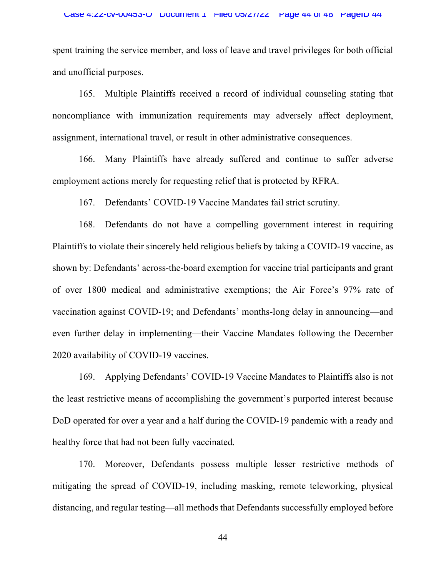spent training the service member, and loss of leave and travel privileges for both official and unofficial purposes.

165. Multiple Plaintiffs received a record of individual counseling stating that noncompliance with immunization requirements may adversely affect deployment, assignment, international travel, or result in other administrative consequences.

166. Many Plaintiffs have already suffered and continue to suffer adverse employment actions merely for requesting relief that is protected by RFRA.

167. Defendants' COVID-19 Vaccine Mandates fail strict scrutiny.

168. Defendants do not have a compelling government interest in requiring Plaintiffs to violate their sincerely held religious beliefs by taking a COVID-19 vaccine, as shown by: Defendants' across-the-board exemption for vaccine trial participants and grant of over 1800 medical and administrative exemptions; the Air Force's 97% rate of vaccination against COVID-19; and Defendants' months-long delay in announcing—and even further delay in implementing—their Vaccine Mandates following the December 2020 availability of COVID-19 vaccines.

169. Applying Defendants' COVID-19 Vaccine Mandates to Plaintiffs also is not the least restrictive means of accomplishing the government's purported interest because DoD operated for over a year and a half during the COVID-19 pandemic with a ready and healthy force that had not been fully vaccinated.

170. Moreover, Defendants possess multiple lesser restrictive methods of mitigating the spread of COVID-19, including masking, remote teleworking, physical distancing, and regular testing—all methods that Defendants successfully employed before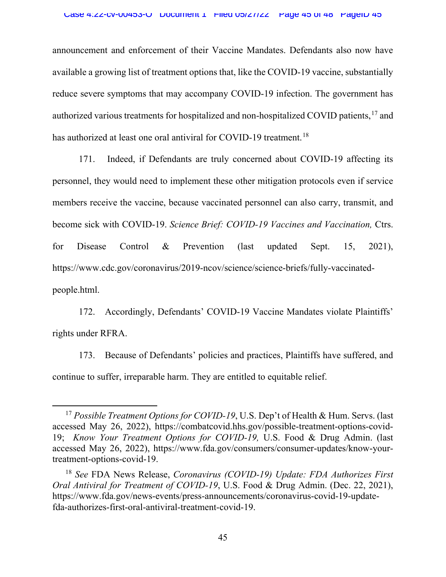announcement and enforcement of their Vaccine Mandates. Defendants also now have available a growing list of treatment options that, like the COVID-19 vaccine, substantially reduce severe symptoms that may accompany COVID-19 infection. The government has authorized various treatments for hospitalized and non-hospitalized COVID patients,<sup>17</sup> and has authorized at least one oral antiviral for COVID-19 treatment.<sup>18</sup>

171. Indeed, if Defendants are truly concerned about COVID-19 affecting its personnel, they would need to implement these other mitigation protocols even if service members receive the vaccine, because vaccinated personnel can also carry, transmit, and become sick with COVID-19. *Science Brief: COVID-19 Vaccines and Vaccination,* Ctrs. for Disease Control & Prevention (last updated Sept. 15, 2021), [https://www.cdc.gov/coronavirus/2019-ncov/science/science-briefs/fully-vaccinated](https://www.cdc.gov/coronavirus/2019-ncov/science/science-briefs/fully-vaccinated-people.html)[people.html.](https://www.cdc.gov/coronavirus/2019-ncov/science/science-briefs/fully-vaccinated-people.html)

172. Accordingly, Defendants' COVID-19 Vaccine Mandates violate Plaintiffs' rights under RFRA.

173. Because of Defendants' policies and practices, Plaintiffs have suffered, and continue to suffer, irreparable harm. They are entitled to equitable relief.

<sup>&</sup>lt;sup>17</sup> *Possible Treatment Options for COVID-19*, U.S. Dep't of Health & Hum. Servs. (last accessed May 26, 2022), [https://combatcovid.hhs.gov/possible-treatment-options-covid-](https://combatcovid.hhs.gov/possible-treatment-options-covid-19)[19;](https://combatcovid.hhs.gov/possible-treatment-options-covid-19) *Know Your Treatment Options for COVID-19,* U.S. Food & Drug Admin. (last accessed May 26, 2022), [https://www.fda.gov/consumers/consumer-updates/know-your](https://www.fda.gov/consumers/consumer-updates/know-your-treatment-options-covid-19)[treatment-options-covid-19.](https://www.fda.gov/consumers/consumer-updates/know-your-treatment-options-covid-19)

<sup>18</sup> *See* FDA News Release, *Coronavirus (COVID-19) Update: FDA Authorizes First Oral Antiviral for Treatment of COVID-19*, U.S. Food & Drug Admin. (Dec. 22, 2021), [https://www.fda.gov/news-events/press-announcements/coronavirus-covid-19-update](https://www.fda.gov/news-events/press-announcements/coronavirus-covid-19-update-fda-authorizes-first-oral-antiviral-treatment-covid-19)[fda-authorizes-first-oral-antiviral-treatment-covid-19.](https://www.fda.gov/news-events/press-announcements/coronavirus-covid-19-update-fda-authorizes-first-oral-antiviral-treatment-covid-19)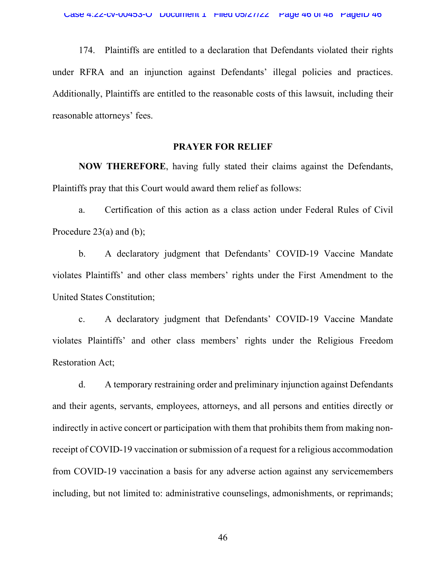174. Plaintiffs are entitled to a declaration that Defendants violated their rights under RFRA and an injunction against Defendants' illegal policies and practices. Additionally, Plaintiffs are entitled to the reasonable costs of this lawsuit, including their reasonable attorneys' fees.

#### **PRAYER FOR RELIEF**

**NOW THEREFORE**, having fully stated their claims against the Defendants, Plaintiffs pray that this Court would award them relief as follows:

a. Certification of this action as a class action under Federal Rules of Civil Procedure 23(a) and (b);

b. A declaratory judgment that Defendants' COVID-19 Vaccine Mandate violates Plaintiffs' and other class members' rights under the First Amendment to the United States Constitution;

c. A declaratory judgment that Defendants' COVID-19 Vaccine Mandate violates Plaintiffs' and other class members' rights under the Religious Freedom Restoration Act;

d. A temporary restraining order and preliminary injunction against Defendants and their agents, servants, employees, attorneys, and all persons and entities directly or indirectly in active concert or participation with them that prohibits them from making nonreceipt of COVID-19 vaccination or submission of a request for a religious accommodation from COVID-19 vaccination a basis for any adverse action against any servicemembers including, but not limited to: administrative counselings, admonishments, or reprimands;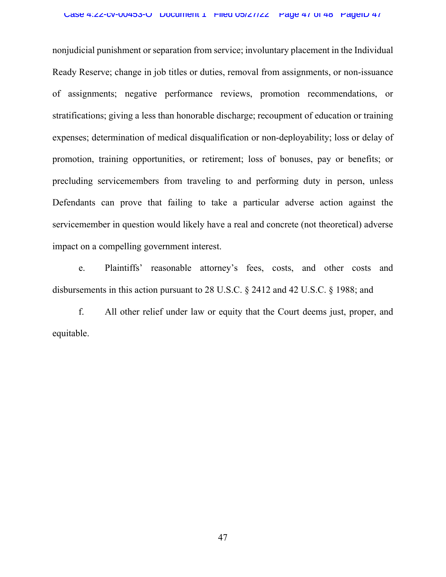nonjudicial punishment or separation from service; involuntary placement in the Individual Ready Reserve; change in job titles or duties, removal from assignments, or non-issuance of assignments; negative performance reviews, promotion recommendations, or stratifications; giving a less than honorable discharge; recoupment of education or training expenses; determination of medical disqualification or non-deployability; loss or delay of promotion, training opportunities, or retirement; loss of bonuses, pay or benefits; or precluding servicemembers from traveling to and performing duty in person, unless Defendants can prove that failing to take a particular adverse action against the servicemember in question would likely have a real and concrete (not theoretical) adverse impact on a compelling government interest.

e. Plaintiffs' reasonable attorney's fees, costs, and other costs and disbursements in this action pursuant to 28 U.S.C. § 2412 and 42 U.S.C. § 1988; and

f. All other relief under law or equity that the Court deems just, proper, and equitable.